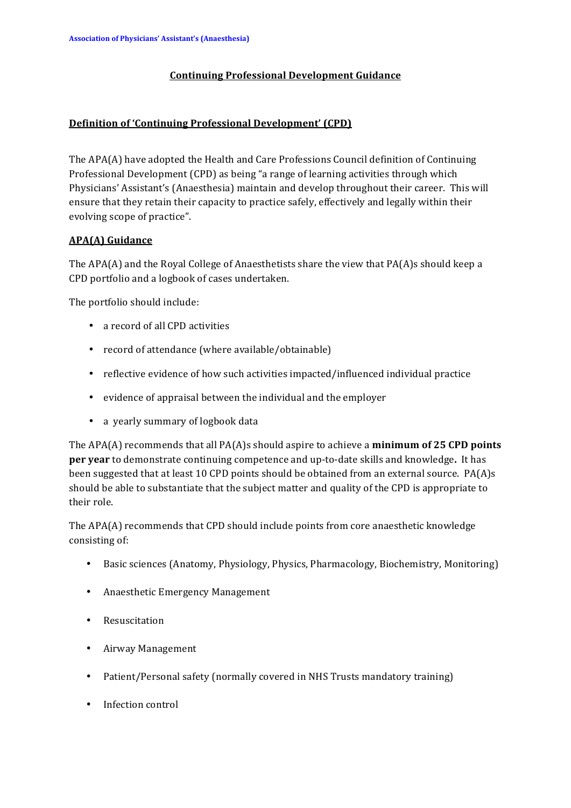### **Continuing)Professional)Development)Guidance**

#### **Definition of 'Continuing Professional Development' (CPD)**

The  $APA(A)$  have adopted the Health and Care Professions Council definition of Continuing Professional Development (CPD) as being "a range of learning activities through which Physicians' Assistant's (Anaesthesia) maintain and develop throughout their career. This will ensure that they retain their capacity to practice safely, effectively and legally within their evolving scope of practice".

## **APA(A)** Guidance

The  $APA(A)$  and the Royal College of Anaesthetists share the view that PA(A)s should keep a CPD portfolio and a logbook of cases undertaken.

The portfolio should include:

- a record of all CPD activities
- record of attendance (where available/obtainable)
- reflective evidence of how such activities impacted/influenced individual practice
- evidence of appraisal between the individual and the employer
- a yearly summary of logbook data

The  $APA(A)$  recommends that all  $PA(A)$ s should aspire to achieve a **minimum of 25 CPD points per year** to demonstrate continuing competence and up-to-date skills and knowledge. It has been suggested that at least 10 CPD points should be obtained from an external source. PA(A)s should be able to substantiate that the subject matter and quality of the CPD is appropriate to their role.

The APA(A) recommends that CPD should include points from core anaesthetic knowledge consisting of:

- Basic sciences (Anatomy, Physiology, Physics, Pharmacology, Biochemistry, Monitoring)
- Anaesthetic Emergency Management
- Resuscitation
- Airway Management
- Patient/Personal safety (normally covered in NHS Trusts mandatory training)
- Infection control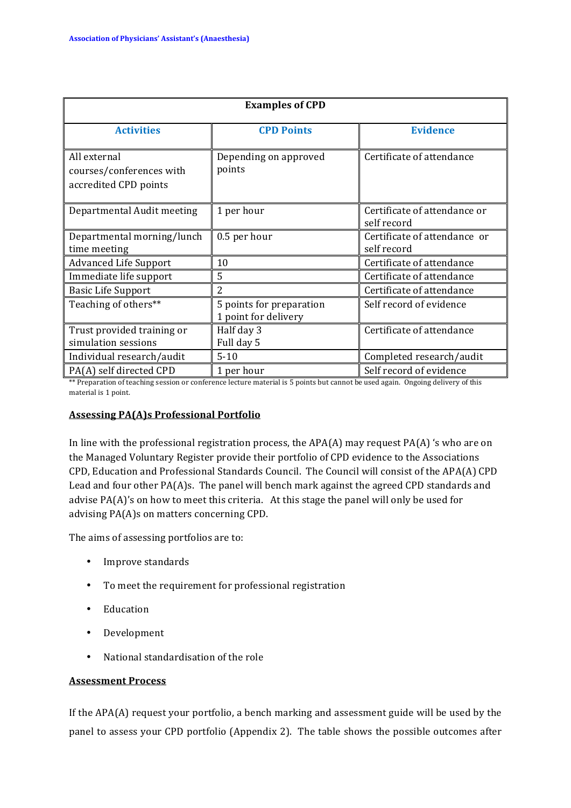| <b>Examples of CPD</b>                                            |                                                  |                                             |
|-------------------------------------------------------------------|--------------------------------------------------|---------------------------------------------|
| <b>Activities</b>                                                 | <b>CPD Points</b>                                | <b>Evidence</b>                             |
| All external<br>courses/conferences with<br>accredited CPD points | Depending on approved<br>points                  | Certificate of attendance                   |
| Departmental Audit meeting                                        | 1 per hour                                       | Certificate of attendance or<br>self record |
| Departmental morning/lunch<br>time meeting                        | 0.5 per hour                                     | Certificate of attendance or<br>self record |
| <b>Advanced Life Support</b>                                      | 10                                               | Certificate of attendance                   |
| Immediate life support                                            | 5                                                | Certificate of attendance                   |
| <b>Basic Life Support</b>                                         | 2                                                | Certificate of attendance                   |
| Teaching of others**                                              | 5 points for preparation<br>1 point for delivery | Self record of evidence                     |
| Trust provided training or<br>simulation sessions                 | Half day 3<br>Full day 5                         | Certificate of attendance                   |
| Individual research/audit                                         | $5 - 10$                                         | Completed research/audit                    |
| PA(A) self directed CPD                                           | 1 per hour                                       | Self record of evidence                     |

\*\* Preparation of teaching session or conference lecture material is 5 points but cannot be used again. Ongoing delivery of this material is 1 point.

#### **Assessing PA(A)s Professional Portfolio**

In line with the professional registration process, the  $APA(A)$  may request  $PA(A)$  's who are on the Managed Voluntary Register provide their portfolio of CPD evidence to the Associations CPD, Education and Professional Standards Council. The Council will consist of the APA(A) CPD Lead and four other  $PA(A)s$ . The panel will bench mark against the agreed CPD standards and advise  $PA(A)'$ s on how to meet this criteria. At this stage the panel will only be used for advising PA(A)s on matters concerning CPD.

The aims of assessing portfolios are to:

- Improve standards
- To meet the requirement for professional registration
- Education!
- Development
- National standardisation of the role

#### **Assessment Process**

If the  $APA(A)$  request your portfolio, a bench marking and assessment guide will be used by the panel to assess your CPD portfolio (Appendix 2). The table shows the possible outcomes after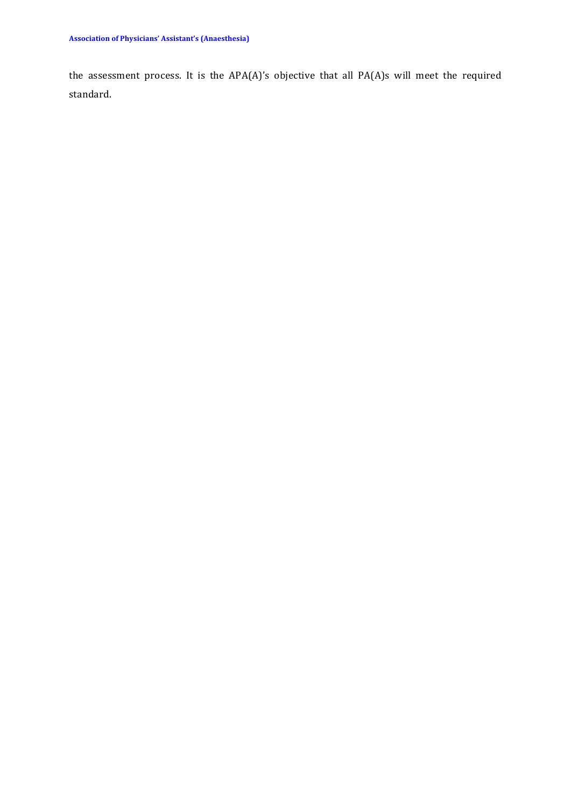the assessment process. It is the APA(A)'s objective that all PA(A)s will meet the required standard.